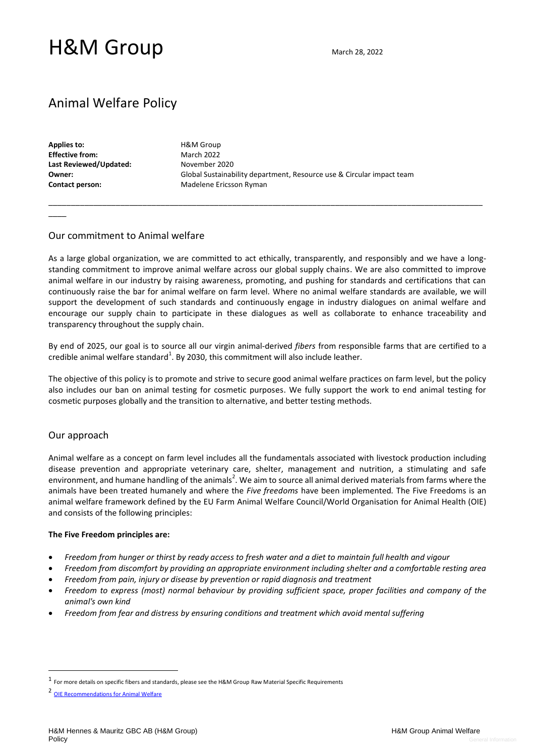# H&M Group March 28, 2022

# Animal Welfare Policy

**Applies to: Effective from: Last Reviewed/Updated: Owner: Contact person:** 

 $\overline{\phantom{a}}$ 

H&M Group March 2022 November 2020 Global Sustainability department, Resource use & Circular impact team Madelene Ericsson Ryman

### Our commitment to Animal welfare

As a large global organization, we are committed to act ethically, transparently, and responsibly and we have a longstanding commitment to improve animal welfare across our global supply chains. We are also committed to improve animal welfare in our industry by raising awareness, promoting, and pushing for standards and certifications that can continuously raise the bar for animal welfare on farm level. Where no animal welfare standards are available, we will support the development of such standards and continuously engage in industry dialogues on animal welfare and encourage our supply chain to participate in these dialogues as well as collaborate to enhance traceability and transparency throughout the supply chain.

\_\_\_\_\_\_\_\_\_\_\_\_\_\_\_\_\_\_\_\_\_\_\_\_\_\_\_\_\_\_\_\_\_\_\_\_\_\_\_\_\_\_\_\_\_\_\_\_\_\_\_\_\_\_\_\_\_\_\_\_\_\_\_\_\_\_\_\_\_\_\_\_\_\_\_\_\_\_\_\_\_\_\_\_\_\_\_\_\_\_\_\_\_\_\_\_\_

By end of 2025, our goal is to source all our virgin animal-derived *fibers* from responsible farms that are certified to a credible animal welfare standard<sup>1</sup>. By 2030, this commitment will also include leather.

The objective of this policy is to promote and strive to secure good animal welfare practices on farm level, but the policy also includes our ban on animal testing for cosmetic purposes. We fully support the work to end animal testing for cosmetic purposes globally and the transition to alternative, and better testing methods.

### Our approach

Animal welfare as a concept on farm level includes all the fundamentals associated with livestock production including disease prevention and appropriate veterinary care, shelter, management and nutrition, a stimulating and safe environment, and humane handling of the animals<sup>2</sup>. We aim to source all animal derived materials from farms where the animals have been treated humanely and where the *Five freedoms* have been implemented*.* The Five Freedoms is an animal welfare framework defined by the EU Farm Animal Welfare Council/World Organisation for Animal Health (OIE) and consists of the following principles:

#### **The Five Freedom principles are:**

- *Freedom from hunger or thirst by ready access to fresh water and a diet to maintain full health and vigour*
- *Freedom from discomfort by providing an appropriate environment including shelter and a comfortable resting area*
- *Freedom from pain, injury or disease by prevention or rapid diagnosis and treatment*
- *Freedom to express (most) normal behaviour by providing sufficient space, proper facilities and company of the animal's own kind*
- *Freedom from fear and distress by ensuring conditions and treatment which avoid mental suffering*

<sup>1</sup> For more details on specific fibers and standards, please see the H&M Group Raw Material Specific Requirements

<sup>2</sup> [OIE Recommendations for Animal Welfare](https://www.oie.int/fileadmin/Home/eng/Health_standards/tahc/2018/en_chapitre_aw_introduction.htm)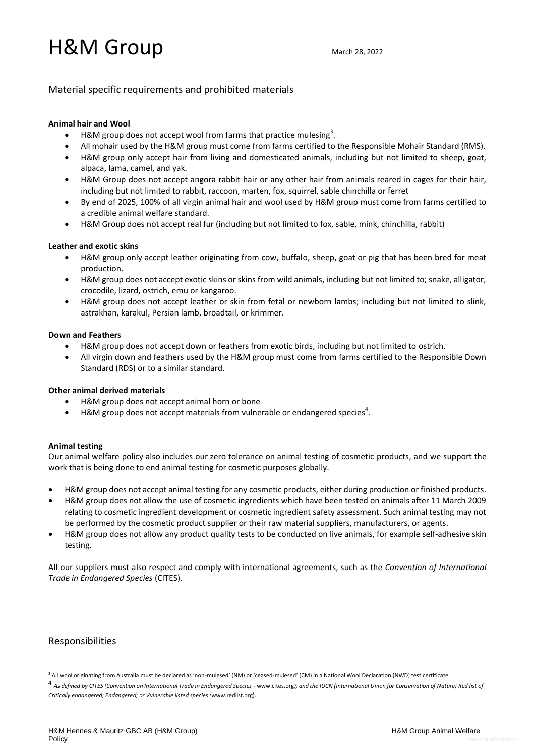# H&M Group March 28, 2022

# Material specific requirements and prohibited materials

#### **Animal hair and Wool**

- H&M group does not accept wool from farms that practice mulesing<sup>3</sup>.
- All mohair used by the H&M group must come from farms certified to the Responsible Mohair Standard (RMS).
- H&M group only accept hair from living and domesticated animals, including but not limited to sheep, goat, alpaca, lama, camel, and yak.
- H&M Group does not accept angora rabbit hair or any other hair from animals reared in cages for their hair, including but not limited to rabbit, raccoon, marten, fox, squirrel, sable chinchilla or ferret
- By end of 2025, 100% of all virgin animal hair and wool used by H&M group must come from farms certified to a credible animal welfare standard.
- H&M Group does not accept real fur (including but not limited to fox, sable, mink, chinchilla, rabbit)

#### **Leather and exotic skins**

- H&M group only accept leather originating from cow, buffalo, sheep, goat or pig that has been bred for meat production.
- H&M group does not accept exotic skins or skins from wild animals, including but not limited to; snake, alligator, crocodile, lizard, ostrich, emu or kangaroo.
- H&M group does not accept leather or skin from fetal or newborn lambs; including but not limited to slink, astrakhan, karakul, Persian lamb, broadtail, or krimmer.

#### **Down and Feathers**

- H&M group does not accept down or feathers from exotic birds, including but not limited to ostrich.
- All virgin down and feathers used by the H&M group must come from farms certified to the Responsible Down Standard (RDS) or to a similar standard.

### **Other animal derived materials**

- H&M group does not accept animal horn or bone
- H&M group does not accept materials from vulnerable or endangered species<sup>4</sup>.

#### **Animal testing**

Our animal welfare policy also includes our zero tolerance on animal testing of cosmetic products, and we support the work that is being done to end animal testing for cosmetic purposes globally.

- H&M group does not accept animal testing for any cosmetic products, either during production or finished products.
- H&M group does not allow the use of cosmetic ingredients which have been tested on animals after 11 March 2009 relating to cosmetic ingredient development or cosmetic ingredient safety assessment. Such animal testing may not be performed by the cosmetic product supplier or their raw material suppliers, manufacturers, or agents.
- H&M group does not allow any product quality tests to be conducted on live animals, for example self-adhesive skin testing.

All our suppliers must also respect and comply with international agreements, such as the *Convention of International Trade in Endangered Species* (CITES).

# Responsibilities

<sup>&</sup>lt;sup>3</sup> All wool originating from Australia must be declared as 'non-mulesed' (NM) or 'ceased-mulesed' (CM) in a National Wool Declaration (NWD) test certificate.

<sup>4</sup> *As defined by CITES (Convention on International Trade in Endangered Species -* www.cites.org*), and the IUCN (International Union for Conservation of Nature) Red list of Critically endangered; Endangered; or Vulnerable listed species (*www.redlist.org)*.*